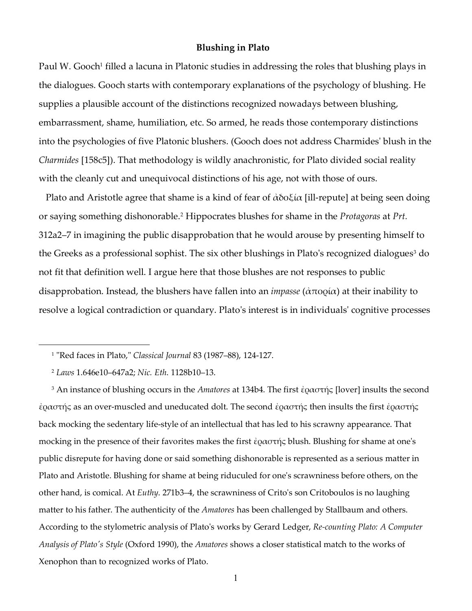#### **Blushing in Plato**

Paul W. Gooch<sup>1</sup> filled a lacuna in Platonic studies in addressing the roles that blushing plays in the dialogues. Gooch starts with contemporary explanations of the psychology of blushing. He supplies a plausible account of the distinctions recognized nowadays between blushing, embarrassment, shame, humiliation, etc. So armed, he reads those contemporary distinctions into the psychologies of five Platonic blushers. (Gooch does not address Charmides' blush in the *Charmides* [158c5]). That methodology is wildly anachronistic, for Plato divided social reality with the cleanly cut and unequivocal distinctions of his age, not with those of ours.

Plato and Aristotle agree that shame is a kind of fear of  $\dot{\alpha}$ δοξία [ill-repute] at being seen doing or saying something dishonorable.<sup>2</sup> Hippocrates blushes for shame in the *Protagoras* at *Prt.*  312a2–7 in imagining the public disapprobation that he would arouse by presenting himself to the Greeks as a professional sophist. The six other blushings in Plato's recognized dialogues $^3$  do not fit that definition well. I argue here that those blushes are not responses to public disapprobation. Instead, the blushers have fallen into an *impasse* (ἀπορία) at their inability to resolve a logical contradiction or quandary. Plato's interest is in individuals' cognitive processes

l

3 An instance of blushing occurs in the *Amatores* at 134b4. The first ἐραστής [lover] insults the second ἐραστής as an over-muscled and uneducated dolt. The second ἐραστής then insults the first ἐραστής back mocking the sedentary life-style of an intellectual that has led to his scrawny appearance. That mocking in the presence of their favorites makes the first ἐραστής blush. Blushing for shame at one's public disrepute for having done or said something dishonorable is represented as a serious matter in Plato and Aristotle. Blushing for shame at being riduculed for one's scrawniness before others, on the other hand, is comical. At *Euthy*. 271b3–4, the scrawniness of Crito's son Critoboulos is no laughing matter to his father. The authenticity of the *Amatores* has been challenged by Stallbaum and others. According to the stylometric analysis of Plato's works by Gerard Ledger, *Re-counting Plato: A Computer Analysis of Plato's Style* (Oxford 1990), the *Amatores* shows a closer statistical match to the works of Xenophon than to recognized works of Plato.

<sup>1</sup> "Red faces in Plato," *Classical Journal* 83 (1987–88), 124-127.

<sup>2</sup> *Laws* 1.646e10–647a2; *Nic. Eth*. 1128b10–13.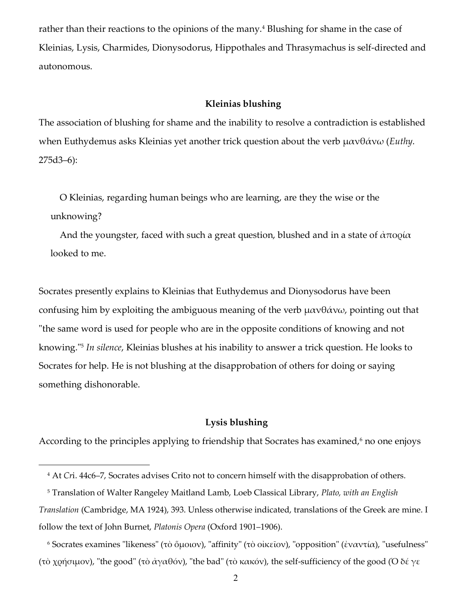rather than their reactions to the opinions of the many.<sup>4</sup> Blushing for shame in the case of Kleinias, Lysis, Charmides, Dionysodorus, Hippothales and Thrasymachus is self-directed and autonomous.

# **Kleinias blushing**

The association of blushing for shame and the inability to resolve a contradiction is established when Euthydemus asks Kleinias yet another trick question about the verb μανθάνω (*Euthy*. 275d3–6):

 O Kleinias, regarding human beings who are learning, are they the wise or the unknowing?

And the youngster, faced with such a great question, blushed and in a state of  $\alpha \pi$ ooi $\alpha$ looked to me.

Socrates presently explains to Kleinias that Euthydemus and Dionysodorus have been confusing him by exploiting the ambiguous meaning of the verb  $\mu \alpha \nu \theta \dot{\alpha} \nu \omega$ , pointing out that "the same word is used for people who are in the opposite conditions of knowing and not knowing."<sup>5</sup> *In silence*, Kleinias blushes at his inability to answer a trick question. He looks to Socrates for help. He is not blushing at the disapprobation of others for doing or saying something dishonorable.

# **Lysis blushing**

According to the principles applying to friendship that Socrates has examined,<sup>6</sup> no one enjoys

<sup>4</sup> At *Cr*i. 44c6–7, Socrates advises Crito not to concern himself with the disapprobation of others.

<sup>5</sup> Translation of Walter Rangeley Maitland Lamb, Loeb Classical Library, *Plato, with an English Translation* (Cambridge, MA 1924), 393. Unless otherwise indicated, translations of the Greek are mine. I follow the text of John Burnet, *Platonis Opera* (Oxford 1901–1906).

<sup>6</sup> Socrates examines "likeness" (τὸ ὅμοιον), "affinity" (τὸ οἰκεῖον), "opposition" (ἐναντία), "usefulness" (τὸ χρήσιμον), "the good" (τὸ ἀγαθόν), "the bad" (τὸ κακόν), the self-sufficiency of the good (Ὁ δέ γε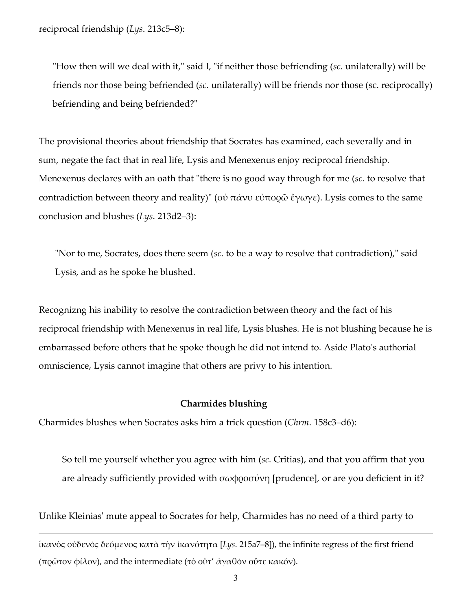reciprocal friendship (*Lys*. 213c5–8):

 $\overline{a}$ 

 "How then will we deal with it," said I, "if neither those befriending (*sc*. unilaterally) will be friends nor those being befriended (*sc*. unilaterally) will be friends nor those (sc. reciprocally) befriending and being befriended?"

 The provisional theories about friendship that Socrates has examined, each severally and in sum, negate the fact that in real life, Lysis and Menexenus enjoy reciprocal friendship. Menexenus declares with an oath that "there is no good way through for me (*sc*. to resolve that contradiction between theory and reality)" (οὐ πάνυ εὐπορῶ ἔγωγε). Lysis comes to the same conclusion and blushes (*Lys*. 213d2–3):

 "Nor to me, Socrates, does there seem (*sc*. to be a way to resolve that contradiction)," said Lysis, and as he spoke he blushed.

 Recognizng his inability to resolve the contradiction between theory and the fact of his reciprocal friendship with Menexenus in real life, Lysis blushes. He is not blushing because he is embarrassed before others that he spoke though he did not intend to. Aside Plato's authorial omniscience, Lysis cannot imagine that others are privy to his intention.

# **Charmides blushing**

Charmides blushes when Socrates asks him a trick question (*Chrm*. 158c3–d6):

 So tell me yourself whether you agree with him (*sc*. Critias), and that you affirm that you are already sufficiently provided with  $\sigma\omega\varphi$  (prudence), or are you deficient in it?

Unlike Kleinias' mute appeal to Socrates for help, Charmides has no need of a third party to

ἱκανὸς οὐδενὸς δεόμενος κατὰ τὴν ἱκανότητα [*Lys*. 215a7–8]), the infinite regress of the first friend (πρῶτον φίλον), and the intermediate (τὸ οὔτ' ἀγαθὸν οὔτε κακόν).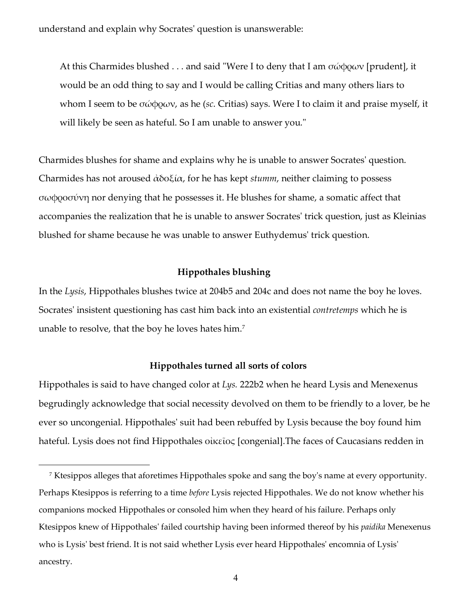understand and explain why Socrates' question is unanswerable:

At this Charmides blushed . . . and said "Were I to deny that I am  $\sigma \omega \phi \rho \omega \nu$  [prudent], it would be an odd thing to say and I would be calling Critias and many others liars to whom I seem to be σώφρων, as he (*sc*. Critias) says. Were I to claim it and praise myself, it will likely be seen as hateful. So I am unable to answer you."

 Charmides blushes for shame and explains why he is unable to answer Socrates' question. Charmides has not aroused ἀδοξία, for he has kept *stumm*, neither claiming to possess σωφροσύνη nor denying that he possesses it. He blushes for shame, a somatic affect that accompanies the realization that he is unable to answer Socrates' trick question, just as Kleinias blushed for shame because he was unable to answer Euthydemus' trick question.

# **Hippothales blushing**

In the *Lysis*, Hippothales blushes twice at 204b5 and 204c and does not name the boy he loves. Socrates' insistent questioning has cast him back into an existential *contretemps* which he is unable to resolve, that the boy he loves hates him.<sup>7</sup>

#### **Hippothales turned all sorts of colors**

Hippothales is said to have changed color at *Lys.* 222b2 when he heard Lysis and Menexenus begrudingly acknowledge that social necessity devolved on them to be friendly to a lover, be he ever so uncongenial. Hippothales' suit had been rebuffed by Lysis because the boy found him hateful. Lysis does not find Hippothales οἰκεῖος [congenial].The faces of Caucasians redden in

<sup>7</sup> Ktesippos alleges that aforetimes Hippothales spoke and sang the boy's name at every opportunity. Perhaps Ktesippos is referring to a time *before* Lysis rejected Hippothales. We do not know whether his companions mocked Hippothales or consoled him when they heard of his failure. Perhaps only Ktesippos knew of Hippothales' failed courtship having been informed thereof by his *paidika* Menexenus who is Lysis' best friend. It is not said whether Lysis ever heard Hippothales' encomnia of Lysis' ancestry.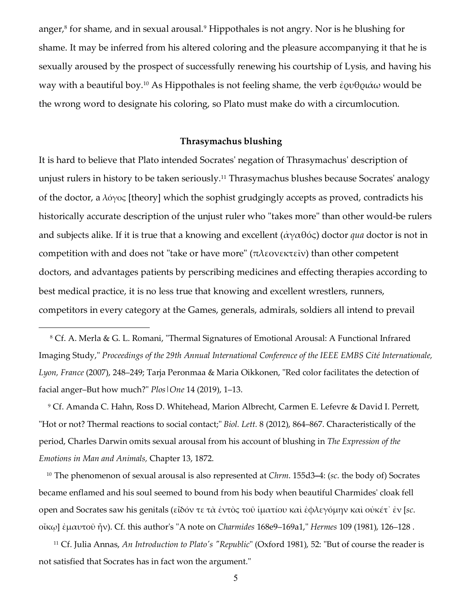anger, $^8$  for shame, and in sexual arousal. $^9$  Hippothales is not angry. Nor is he blushing for shame. It may be inferred from his altered coloring and the pleasure accompanying it that he is sexually aroused by the prospect of successfully renewing his courtship of Lysis, and having his way with a beautiful boy.<sup>10</sup> As Hippothales is not feeling shame, the verb ἐρυθριάω would be the wrong word to designate his coloring, so Plato must make do with a circumlocution.

### **Thrasymachus blushing**

It is hard to believe that Plato intended Socrates' negation of Thrasymachus' description of unjust rulers in history to be taken seriously.<sup>11</sup> Thrasymachus blushes because Socrates' analogy of the doctor, a λόγος [theory] which the sophist grudgingly accepts as proved, contradicts his historically accurate description of the unjust ruler who "takes more" than other would-be rulers and subjects alike. If it is true that a knowing and excellent (ἀγαθός) doctor *qua* doctor is not in competition with and does not "take or have more" (πλεονεκτεῖν) than other competent doctors, and advantages patients by perscribing medicines and effecting therapies according to best medical practice, it is no less true that knowing and excellent wrestlers, runners, competitors in every category at the Games, generals, admirals, soldiers all intend to prevail

8 Cf. A. Merla & G. L. Romani, "Thermal Signatures of Emotional Arousal: A Functional Infrared Imaging Study," *Proceedings of the 29th Annual International Conference of the IEEE EMBS Cité Internationale, Lyon, France* (2007), 248–249; Tarja Peronmaa & Maria Oikkonen, "Red color facilitates the detection of facial anger–But how much?" *Plos|One* 14 (2019), 1–13.

 $\overline{a}$ 

9 Cf. Amanda C. Hahn, Ross D. Whitehead, Marion Albrecht, Carmen E. Lefevre & David I. Perrett, "Hot or not? Thermal reactions to social contact;" *Biol. Lett.* 8 (2012), 864–867. Characteristically of the period, Charles Darwin omits sexual arousal from his account of blushing in *The Expression of the Emotions in Man and Animals,* Chapter 13, 1872.

<sup>10</sup> The phenomenon of sexual arousal is also represented at *Chrm*. 155d3**–**4: (*sc*. the body of) Socrates became enflamed and his soul seemed to bound from his body when beautiful Charmides' cloak fell open and Socrates saw his genitals (εἶδόν τε τὰ ἐντὸς τοῦ ἱματίου καὶ ἐφλεγόμην καὶ οὐκέτ᾽ ἐν [*sc*. οἴκῳ] ἐμαυτοῦ ἦν). Cf. this author's "A note on *Charmides* 168e9–169a1," *Hermes* 109 (1981), 126–128 .

<sup>11</sup> Cf. Julia Annas, *An Introduction to Plato's "Republic*" (Oxford 1981), 52: "But of course the reader is not satisfied that Socrates has in fact won the argument."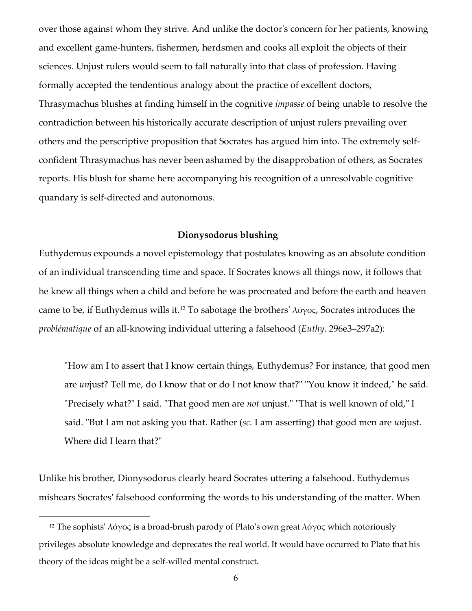over those against whom they strive. And unlike the doctor's concern for her patients, knowing and excellent game-hunters, fishermen, herdsmen and cooks all exploit the objects of their sciences. Unjust rulers would seem to fall naturally into that class of profession. Having formally accepted the tendentious analogy about the practice of excellent doctors, Thrasymachus blushes at finding himself in the cognitive *impasse* of being unable to resolve the contradiction between his historically accurate description of unjust rulers prevailing over others and the perscriptive proposition that Socrates has argued him into. The extremely selfconfident Thrasymachus has never been ashamed by the disapprobation of others, as Socrates reports. His blush for shame here accompanying his recognition of a unresolvable cognitive quandary is self-directed and autonomous.

### **Dionysodorus blushing**

 Euthydemus expounds a novel epistemology that postulates knowing as an absolute condition of an individual transcending time and space. If Socrates knows all things now, it follows that he knew all things when a child and before he was procreated and before the earth and heaven came to be, if Euthydemus wills it.<sup>12</sup> To sabotage the brothers'  $\lambda \acute{o} \gamma$ os, Socrates introduces the *problématique* of an all-knowing individual uttering a falsehood (*Euthy*. 296e3–297a2):

 "How am I to assert that I know certain things, Euthydemus? For instance, that good men are *un*just? Tell me, do I know that or do I not know that?" "You know it indeed," he said. "Precisely what?" I said. "That good men are *not* unjust." "That is well known of old," I said. "But I am not asking you that. Rather (*sc.* I am asserting) that good men are *un*just. Where did I learn that?"

Unlike his brother, Dionysodorus clearly heard Socrates uttering a falsehood. Euthydemus mishears Socrates' falsehood conforming the words to his understanding of the matter. When

<sup>&</sup>lt;sup>12</sup> The sophists' λόγος is a broad-brush parody of Plato's own great λόγος which notoriously privileges absolute knowledge and deprecates the real world. It would have occurred to Plato that his theory of the ideas might be a self-willed mental construct.